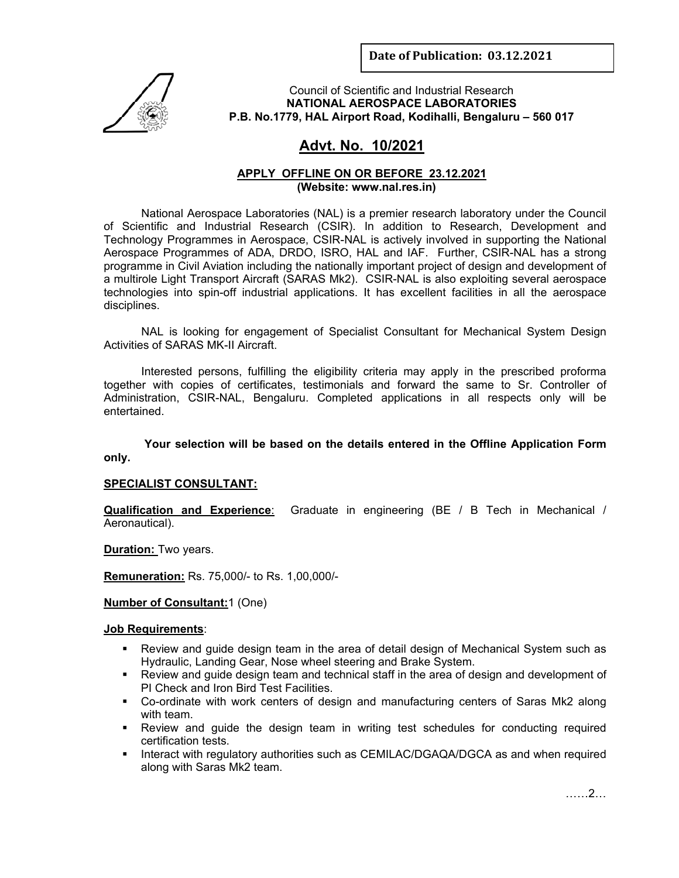**Date of Publication: 03.12.2021**



Council of Scientific and Industrial Research **NATIONAL AEROSPACE LABORATORIES P.B. No.1779, HAL Airport Road, Kodihalli, Bengaluru – 560 017** 

# **Advt. No. 10/2021**

## **APPLY OFFLINE ON OR BEFORE 23.12.2021 (Website: www.nal.res.in)**

National Aerospace Laboratories (NAL) is a premier research laboratory under the Council of Scientific and Industrial Research (CSIR). In addition to Research, Development and Technology Programmes in Aerospace, CSIR-NAL is actively involved in supporting the National Aerospace Programmes of ADA, DRDO, ISRO, HAL and IAF. Further, CSIR-NAL has a strong programme in Civil Aviation including the nationally important project of design and development of a multirole Light Transport Aircraft (SARAS Mk2). CSIR-NAL is also exploiting several aerospace technologies into spin-off industrial applications. It has excellent facilities in all the aerospace disciplines.

 NAL is looking for engagement of Specialist Consultant for Mechanical System Design Activities of SARAS MK-II Aircraft.

Interested persons, fulfilling the eligibility criteria may apply in the prescribed proforma together with copies of certificates, testimonials and forward the same to Sr. Controller of Administration, CSIR-NAL, Bengaluru. Completed applications in all respects only will be entertained.

 **Your selection will be based on the details entered in the Offline Application Form only.** 

## **SPECIALIST CONSULTANT:**

**Qualification and Experience**: Graduate in engineering (BE / B Tech in Mechanical / Aeronautical).

**Duration:** Two years.

**Remuneration:** Rs. 75,000/- to Rs. 1,00,000/-

#### **Number of Consultant:**1 (One)

#### **Job Requirements**:

- Review and guide design team in the area of detail design of Mechanical System such as Hydraulic, Landing Gear, Nose wheel steering and Brake System.
- Review and guide design team and technical staff in the area of design and development of PI Check and Iron Bird Test Facilities.
- Co-ordinate with work centers of design and manufacturing centers of Saras Mk2 along with team.
- Review and guide the design team in writing test schedules for conducting required certification tests.
- **Interact with regulatory authorities such as CEMILAC/DGAQA/DGCA as and when required** along with Saras Mk2 team.